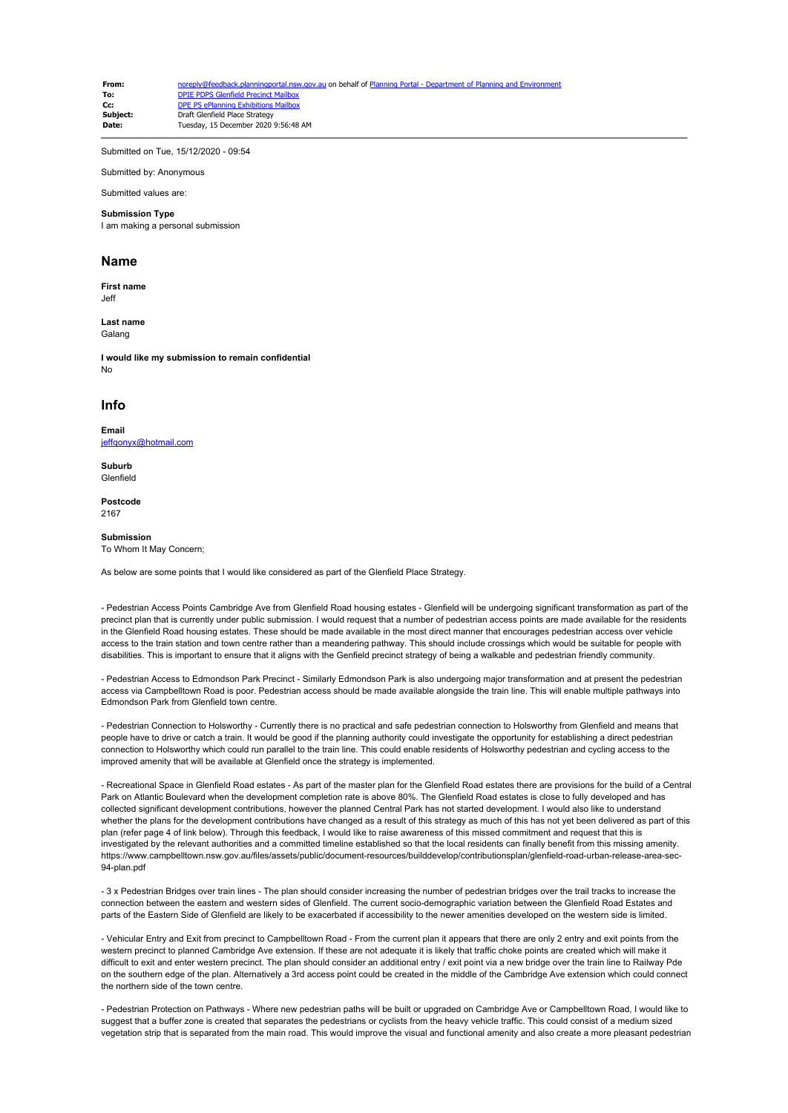| From:    | noreply@feedback.planningportal.nsw.gov.au on behalf of Planning Portal - Department of Planning and Environment |
|----------|------------------------------------------------------------------------------------------------------------------|
| To:      | <b>DPIE PDPS Glenfield Precinct Mailbox</b>                                                                      |
| Cc:      | DPE PS ePlanning Exhibitions Mailbox                                                                             |
| Subiect: | Draft Glenfield Place Strategy                                                                                   |
| Date:    | Tuesday, 15 December 2020 9:56:48 AM                                                                             |

Submitted on Tue, 15/12/2020 - 09:54

Submitted by: Anonymous

Submitted values are:

## **Submission Type**

I am making a personal submission

## **Name**

**First name** Jeff

**Last name** Galang

**I would like my submission to remain confidential** N<sub>o</sub>

## **Info**

**Email** [jeffqonyx@hotmail.com](mailto:jeffqonyx@hotmail.com)

**Suburb** Glenfield

**Postcode** 2167

## **Submission**

To Whom It May Concern;

As below are some points that I would like considered as part of the Glenfield Place Strategy.

- Pedestrian Access Points Cambridge Ave from Glenfield Road housing estates - Glenfield will be undergoing significant transformation as part of the precinct plan that is currently under public submission. I would request that a number of pedestrian access points are made available for the residents in the Glenfield Road housing estates. These should be made available in the most direct manner that encourages pedestrian access over vehicle access to the train station and town centre rather than a meandering pathway. This should include crossings which would be suitable for people with disabilities. This is important to ensure that it aligns with the Genfield precinct strategy of being a walkable and pedestrian friendly community.

- Pedestrian Access to Edmondson Park Precinct - Similarly Edmondson Park is also undergoing major transformation and at present the pedestrian access via Campbelltown Road is poor. Pedestrian access should be made available alongside the train line. This will enable multiple pathways into Edmondson Park from Glenfield town centre.

- Pedestrian Connection to Holsworthy - Currently there is no practical and safe pedestrian connection to Holsworthy from Glenfield and means that people have to drive or catch a train. It would be good if the planning authority could investigate the opportunity for establishing a direct pedestrian connection to Holsworthy which could run parallel to the train line. This could enable residents of Holsworthy pedestrian and cycling access to the improved amenity that will be available at Glenfield once the strategy is implemented.

- Recreational Space in Glenfield Road estates - As part of the master plan for the Glenfield Road estates there are provisions for the build of a Central Park on Atlantic Boulevard when the development completion rate is above 80%. The Glenfield Road estates is close to fully developed and has collected significant development contributions, however the planned Central Park has not started development. I would also like to understand whether the plans for the development contributions have changed as a result of this strategy as much of this has not yet been delivered as part of this plan (refer page 4 of link below). Through this feedback, I would like to raise awareness of this missed commitment and request that this is investigated by the relevant authorities and a committed timeline established so that the local residents can finally benefit from this missing amenity. https://www.campbelltown.nsw.gov.au/files/assets/public/document-resources/builddevelop/contributionsplan/glenfield-road-urban-release-area-sec-94-plan.pdf

- 3 x Pedestrian Bridges over train lines - The plan should consider increasing the number of pedestrian bridges over the trail tracks to increase the connection between the eastern and western sides of Glenfield. The current socio-demographic variation between the Glenfield Road Estates and parts of the Eastern Side of Glenfield are likely to be exacerbated if accessibility to the newer amenities developed on the western side is limited.

- Vehicular Entry and Exit from precinct to Campbelltown Road - From the current plan it appears that there are only 2 entry and exit points from the western precinct to planned Cambridge Ave extension. If these are not adequate it is likely that traffic choke points are created which will make it difficult to exit and enter western precinct. The plan should consider an additional entry / exit point via a new bridge over the train line to Railway Pde on the southern edge of the plan. Alternatively a 3rd access point could be created in the middle of the Cambridge Ave extension which could connect the northern side of the town centre.

- Pedestrian Protection on Pathways - Where new pedestrian paths will be built or upgraded on Cambridge Ave or Campbelltown Road, I would like to suggest that a buffer zone is created that separates the pedestrians or cyclists from the heavy vehicle traffic. This could consist of a medium sized vegetation strip that is separated from the main road. This would improve the visual and functional amenity and also create a more pleasant pedestrian